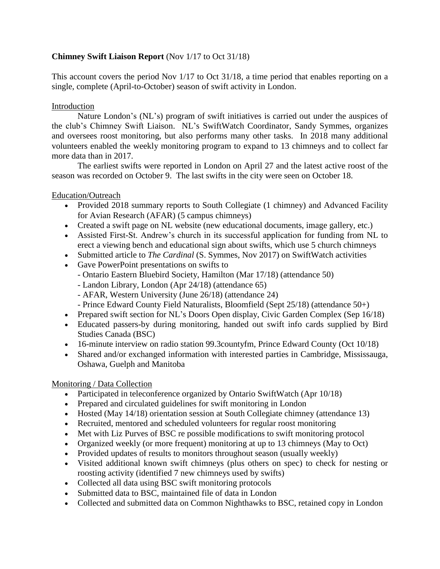# **Chimney Swift Liaison Report** (Nov 1/17 to Oct 31/18)

This account covers the period Nov 1/17 to Oct 31/18, a time period that enables reporting on a single, complete (April-to-October) season of swift activity in London.

# Introduction

Nature London's (NL's) program of swift initiatives is carried out under the auspices of the club's Chimney Swift Liaison. NL's SwiftWatch Coordinator, Sandy Symmes, organizes and oversees roost monitoring, but also performs many other tasks. In 2018 many additional volunteers enabled the weekly monitoring program to expand to 13 chimneys and to collect far more data than in 2017.

The earliest swifts were reported in London on April 27 and the latest active roost of the season was recorded on October 9. The last swifts in the city were seen on October 18.

# Education/Outreach

- Provided 2018 summary reports to South Collegiate (1 chimney) and Advanced Facility for Avian Research (AFAR) (5 campus chimneys)
- Created a swift page on NL website (new educational documents, image gallery, etc.)
- Assisted First-St. Andrew's church in its successful application for funding from NL to erect a viewing bench and educational sign about swifts, which use 5 church chimneys
- Submitted article to *The Cardinal* (S. Symmes, Nov 2017) on SwiftWatch activities
- Gave PowerPoint presentations on swifts to
	- Ontario Eastern Bluebird Society, Hamilton (Mar 17/18) (attendance 50)
	- Landon Library, London (Apr 24/18) (attendance 65)
	- AFAR, Western University (June 26/18) (attendance 24)
	- Prince Edward County Field Naturalists, Bloomfield (Sept 25/18) (attendance 50+)
- Prepared swift section for NL's Doors Open display, Civic Garden Complex (Sep 16/18)
- Educated passers-by during monitoring, handed out swift info cards supplied by Bird Studies Canada (BSC)
- 16-minute interview on radio station 99.3 county fm, Prince Edward County (Oct 10/18)
- Shared and/or exchanged information with interested parties in Cambridge, Mississauga, Oshawa, Guelph and Manitoba

# Monitoring / Data Collection

- Participated in teleconference organized by Ontario SwiftWatch (Apr 10/18)
- Prepared and circulated guidelines for swift monitoring in London
- Hosted (May 14/18) orientation session at South Collegiate chimney (attendance 13)
- Recruited, mentored and scheduled volunteers for regular roost monitoring
- Met with Liz Purves of BSC re possible modifications to swift monitoring protocol
- Organized weekly (or more frequent) monitoring at up to 13 chimneys (May to Oct)
- Provided updates of results to monitors throughout season (usually weekly)
- Visited additional known swift chimneys (plus others on spec) to check for nesting or roosting activity (identified 7 new chimneys used by swifts)
- Collected all data using BSC swift monitoring protocols
- Submitted data to BSC, maintained file of data in London
- Collected and submitted data on Common Nighthawks to BSC, retained copy in London